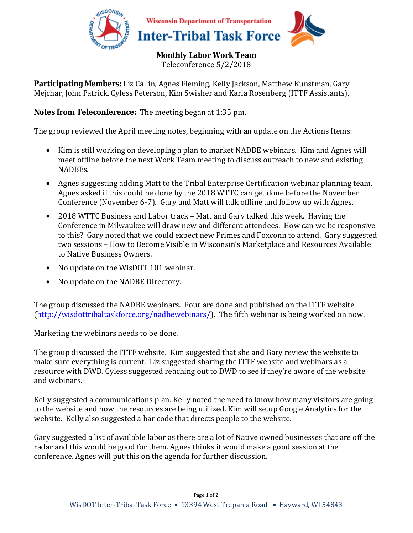

**Monthly Labor Work Team** 

Teleconference 5/2/2018

**Participating Members:** Liz Callin, Agnes Fleming, Kelly Jackson, Matthew Kunstman, Gary Mejchar, John Patrick, Cyless Peterson, Kim Swisher and Karla Rosenberg (ITTF Assistants).

## **Notes from Teleconference:** The meeting began at 1:35 pm.

The group reviewed the April meeting notes, beginning with an update on the Actions Items:

- Kim is still working on developing a plan to market NADBE webinars. Kim and Agnes will meet offline before the next Work Team meeting to discuss outreach to new and existing NADBEs.
- Agnes suggesting adding Matt to the Tribal Enterprise Certification webinar planning team. Agnes asked if this could be done by the 2018 WTTC can get done before the November Conference (November 6-7). Gary and Matt will talk offline and follow up with Agnes.
- 2018 WTTC Business and Labor track Matt and Gary talked this week. Having the Conference in Milwaukee will draw new and different attendees. How can we be responsive to this? Gary noted that we could expect new Primes and Foxconn to attend. Gary suggested two sessions – How to Become Visible in Wisconsin's Marketplace and Resources Available to Native Business Owners.
- No update on the WisDOT 101 webinar.
- No update on the NADBE Directory.

The group discussed the NADBE webinars. Four are done and published on the ITTF website (http://wisdottribaltaskforce.org/nadbewebinars/). The fifth webinar is being worked on now.

Marketing the webinars needs to be done.

The group discussed the ITTF website. Kim suggested that she and Gary review the website to make sure everything is current. Liz suggested sharing the ITTF website and webinars as a resource with DWD. Cyless suggested reaching out to DWD to see if they're aware of the website and webinars.

Kelly suggested a communications plan. Kelly noted the need to know how many visitors are going to the website and how the resources are being utilized. Kim will setup Google Analytics for the website. Kelly also suggested a bar code that directs people to the website.

Gary suggested a list of available labor as there are a lot of Native owned businesses that are off the radar and this would be good for them. Agnes thinks it would make a good session at the conference. Agnes will put this on the agenda for further discussion.